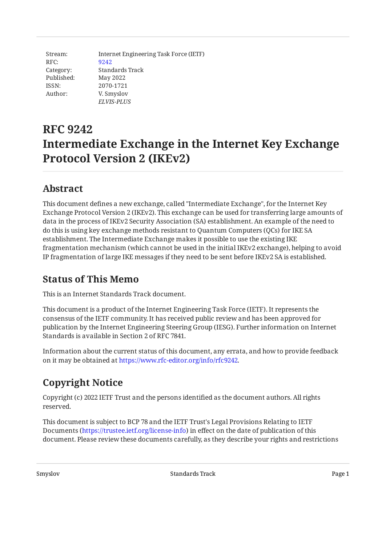Stream: RFC: Category: Published: ISSN: Author: Internet Engineering Task Force (IETF) [9242](https://www.rfc-editor.org/rfc/rfc9242) Standards Track May 2022 2070-1721 V. Smyslov *ELVIS-PLUS*

# **RFC 9242 Intermediate Exchange in the Internet Key Exchange Protocol Version 2 (IKEv2)**

### <span id="page-0-0"></span>**[Abstract](#page-0-0)**

This document defines a new exchange, called "Intermediate Exchange", for the Internet Key Exchange Protocol Version 2 (IKEv2). This exchange can be used for transferring large amounts of data in the process of IKEv2 Security Association (SA) establishment. An example of the need to do this is using key exchange methods resistant to Quantum Computers (QCs) for IKE SA establishment. The Intermediate Exchange makes it possible to use the existing IKE fragmentation mechanism (which cannot be used in the initial IKEv2 exchange), helping to avoid IP fragmentation of large IKE messages if they need to be sent before IKEv2 SA is established.

## <span id="page-0-1"></span>**[Status of This Memo](#page-0-1)**

This is an Internet Standards Track document.

This document is a product of the Internet Engineering Task Force (IETF). It represents the consensus of the IETF community. It has received public review and has been approved for publication by the Internet Engineering Steering Group (IESG). Further information on Internet Standards is available in Section 2 of RFC 7841.

Information about the current status of this document, any errata, and how to provide feedback on it may be obtained at [https://www.rfc-editor.org/info/rfc9242.](https://www.rfc-editor.org/info/rfc9242)

## <span id="page-0-2"></span>**[Copyright Notice](#page-0-2)**

Copyright (c) 2022 IETF Trust and the persons identified as the document authors. All rights reserved.

This document is subject to BCP 78 and the IETF Trust's Legal Provisions Relating to IETF Documents (<https://trustee.ietf.org/license-info>) in effect on the date of publication of this document. Please review these documents carefully, as they describe your rights and restrictions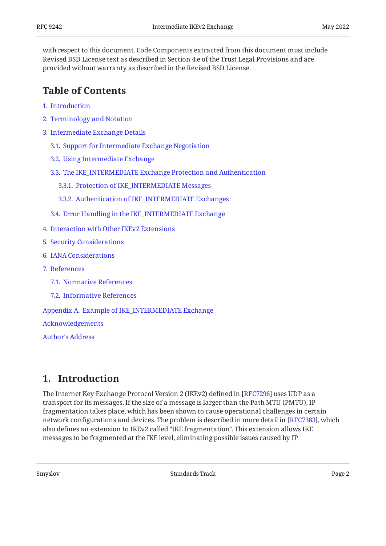with respect to this document. Code Components extracted from this document must include Revised BSD License text as described in Section 4.e of the Trust Legal Provisions and are provided without warranty as described in the Revised BSD License.

### <span id="page-1-0"></span>**[Table of Contents](#page-1-0)**

- [1](#page-1-1). [Introduction](#page-1-1)
- [2](#page-3-0). [Terminology and Notation](#page-3-0)
- [3](#page-3-1). [Intermediate Exchange Details](#page-3-1)
	- [3.1.](#page-3-2) [Support for Intermediate Exchange Negotiation](#page-3-2)
	- [3.2.](#page-3-3) [Using Intermediate Exchange](#page-3-3)
	- [3.3.](#page-4-0) [The IKE\\_INTERMEDIATE Exchange Protection and Authentication](#page-4-0)
		- [3.3.1](#page-4-1). [Protection of IKE\\_INTERMEDIATE Messages](#page-4-1)
		- [3.3.2](#page-5-0). [Authentication of IKE\\_INTERMEDIATE Exchanges](#page-5-0)
	- [3.4.](#page-8-0) [Error Handling in the IKE\\_INTERMEDIATE Exchange](#page-8-0)
- [4](#page-8-1). [Interaction with Other IKEv2 Extensions](#page-8-1)
- [5](#page-8-2). [Security Considerations](#page-8-2)
- [6](#page-9-0). [IANA Considerations](#page-9-0)
- [7](#page-10-0). [References](#page-10-0)
	- [7.1.](#page-10-1) [Normative References](#page-10-1)
	- [7.2.](#page-10-2) [Informative References](#page-10-2)

[Appendix A.](#page-11-0) [Example of IKE\\_INTERMEDIATE Exchange](#page-11-0)

[Acknowledgements](#page-12-0)

[Author's Address](#page-13-0)

### <span id="page-1-1"></span>**[1. Introduction](#page-1-1)**

The Internet Key Exchange Protocol Version 2 (IKEv2) defined in [RFC7296] uses UDP as a transport for its messages. If the size of a message is larger than the Path MTU (PMTU), IP fragmentation takes place, which has been shown to cause operational challenges in certain network configurations and devices. The problem is described in more detail in [RFC7383], which also defines an extension to IKEv2 called "IKE fragmentation". This extension allows IKE messages to be fragmented at the IKE level, eliminating possible issues caused by IP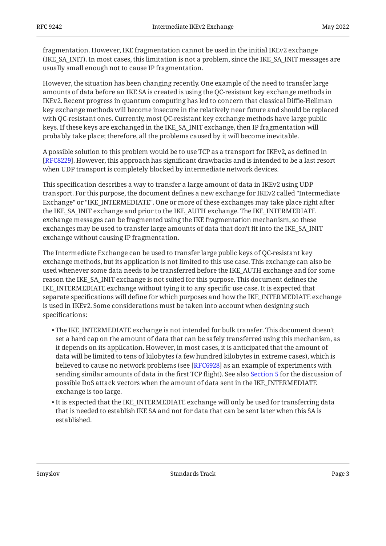fragmentation. However, IKE fragmentation cannot be used in the initial IKEv2 exchange (IKE\_SA\_INIT). In most cases, this limitation is not a problem, since the IKE\_SA\_INIT messages are usually small enough not to cause IP fragmentation.

However, the situation has been changing recently. One example of the need to transfer large amounts of data before an IKE SA is created is using the QC-resistant key exchange methods in IKEv2. Recent progress in quantum computing has led to concern that classical Diffie-Hellman key exchange methods will become insecure in the relatively near future and should be replaced with QC-resistant ones. Currently, most QC-resistant key exchange methods have large public keys. If these keys are exchanged in the IKE\_SA\_INIT exchange, then IP fragmentation will probably take place; therefore, all the problems caused by it will become inevitable.

A possible solution to this problem would be to use TCP as a transport for IKEv2, as defined in . However, this approach has significant drawbacks and is intended to be a last resort [[RFC8229\]](#page-10-5) when UDP transport is completely blocked by intermediate network devices.

This specification describes a way to transfer a large amount of data in IKEv2 using UDP transport. For this purpose, the document defines a new exchange for IKEv2 called "Intermediate Exchange" or "IKE\_INTERMEDIATE". One or more of these exchanges may take place right after the IKE\_SA\_INIT exchange and prior to the IKE\_AUTH exchange. The IKE\_INTERMEDIATE exchange messages can be fragmented using the IKE fragmentation mechanism, so these exchanges may be used to transfer large amounts of data that don't fit into the IKE\_SA\_INIT exchange without causing IP fragmentation.

The Intermediate Exchange can be used to transfer large public keys of QC-resistant key exchange methods, but its application is not limited to this use case. This exchange can also be used whenever some data needs to be transferred before the IKE\_AUTH exchange and for some reason the IKE\_SA\_INIT exchange is not suited for this purpose. This document defines the IKE\_INTERMEDIATE exchange without tying it to any specific use case. It is expected that separate specifications will define for which purposes and how the IKE\_INTERMEDIATE exchange is used in IKEv2. Some considerations must be taken into account when designing such specifications:

- The IKE\_INTERMEDIATE exchange is not intended for bulk transfer. This document doesn't set a hard cap on the amount of data that can be safely transferred using this mechanism, as it depends on its application. However, in most cases, it is anticipated that the amount of data will be limited to tens of kilobytes (a few hundred kilobytes in extreme cases), which is believed to cause no network problems (see [RFC6928] as an example of experiments with sending similar amounts of data in the first TCP flight). See also [Section 5](#page-8-2) for the discussion of possible DoS attack vectors when the amount of data sent in the IKE\_INTERMEDIATE exchange is too large.
- $\bullet$  It is expected that the IKE\_INTERMEDIATE exchange will only be used for transferring data that is needed to establish IKE SA and not for data that can be sent later when this SA is established.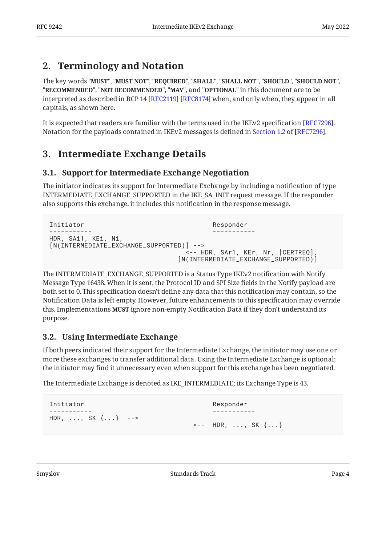## <span id="page-3-0"></span>**[2. Terminology and Notation](#page-3-0)**

The key words "MUST", "MUST NOT", "REQUIRED", "SHALL", "SHALL NOT", "SHOULD", "SHOULD NOT", "**RECOMMENDED", "NOT RECOMMENDED", "MAY",** and "OPTIONAL" in this document are to be interpreted as described in BCP 14 [RFC2119] [RFC8174] when, and only when, they appear in all capitals, as shown here.

It is expected that readers are familiar with the terms used in the IKEv2 specification [RFC7296]. Notationfor the payloads contained in IKEv2 messages is defined in Section 1.2 of [RFC7296].

## <span id="page-3-2"></span><span id="page-3-1"></span>**[3. Intermediate Exchange Details](#page-3-1)**

### **[3.1. Support for Intermediate Exchange Negotiation](#page-3-2)**

The initiator indicates its support for Intermediate Exchange by including a notification of type INTERMEDIATE\_EXCHANGE\_SUPPORTED in the IKE\_SA\_INIT request message. If the responder also supports this exchange, it includes this notification in the response message.

```
Initiator Responder
----------- -----------
HDR, SAi1, KEi, Ni,
[N(INTERMEDIATE_EXCHANGE_SUPPORTED)] -->
                           <-- HDR, SAr1, KEr, Nr, [CERTREQ],
                          [N(INTERMEDIATE_EXCHANGE_SUPPORTED)]
```
The INTERMEDIATE\_EXCHANGE\_SUPPORTED is a Status Type IKEv2 notification with Notify Message Type 16438. When it is sent, the Protocol ID and SPI Size fields in the Notify payload are both set to 0. This specification doesn't define any data that this notification may contain, so the Notification Data is left empty. However, future enhancements to this specification may override this. Implementations **MUST** ignore non-empty Notification Data if they don't understand its purpose.

### <span id="page-3-3"></span>**[3.2. Using Intermediate Exchange](#page-3-3)**

If both peers indicated their support for the Intermediate Exchange, the initiator may use one or more these exchanges to transfer additional data. Using the Intermediate Exchange is optional; the initiator may find it unnecessary even when support for this exchange has been negotiated.

The Intermediate Exchange is denoted as IKE\_INTERMEDIATE; its Exchange Type is 43.

```
Initiator Responder
----------- -----------
HDR, ..., SK {...} -->
                       <-- HDR, ..., SK {...}
```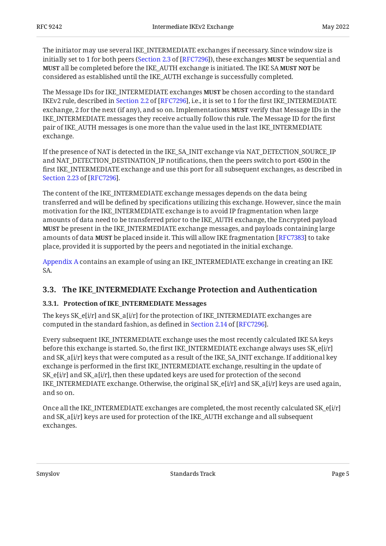The initiator may use several IKE\_INTERMEDIATE exchanges if necessary. Since window size is initially set to 1 for both peers ([Section 2.3](https://www.rfc-editor.org/rfc/rfc7296#section-2.3) of [\[RFC7296\]](#page-10-3)), these exchanges **MUST** be sequential and **MUST** all be completed before the IKE\_AUTH exchange is initiated. The IKE SA **MUST NOT** be considered as established until the IKE\_AUTH exchange is successfully completed.

The Message IDs for IKE\_INTERMEDIATE exchanges **MUST** be chosen according to the standard IKEv2rule, described in Section 2.2 of [RFC7296], i.e., it is set to 1 for the first IKE\_INTERMEDIATE exchange, 2 for the next (if any), and so on. Implementations **MUST** verify that Message IDs in the IKE\_INTERMEDIATE messages they receive actually follow this rule. The Message ID for the first pair of IKE\_AUTH messages is one more than the value used in the last IKE\_INTERMEDIATE exchange.

If the presence of NAT is detected in the IKE\_SA\_INIT exchange via NAT\_DETECTION\_SOURCE\_IP and NAT\_DETECTION\_DESTINATION\_IP notifications, then the peers switch to port 4500 in the first IKE\_INTERMEDIATE exchange and use this port for all subsequent exchanges, as described in . [Section 2.23](https://www.rfc-editor.org/rfc/rfc7296#section-2.23) of [\[RFC7296](#page-10-3)]

The content of the IKE\_INTERMEDIATE exchange messages depends on the data being transferred and will be defined by specifications utilizing this exchange. However, since the main motivation for the IKE\_INTERMEDIATE exchange is to avoid IP fragmentation when large amounts of data need to be transferred prior to the IKE\_AUTH exchange, the Encrypted payload be present in the IKE\_INTERMEDIATE exchange messages, and payloads containing large **MUST** amounts of data **MUST** be placed inside it. This will allow IKE fragmentation [RFC7383] to take place, provided it is supported by the peers and negotiated in the initial exchange.

[Appendix A](#page-11-0) contains an example of using an IKE\_INTERMEDIATE exchange in creating an IKE SA.

### <span id="page-4-1"></span><span id="page-4-0"></span>**[3.3. The IKE\\_INTERMEDIATE Exchange Protection and Authentication](#page-4-0)**

#### **[3.3.1. Protection of IKE\\_INTERMEDIATE Messages](#page-4-1)**

The keys SK\_e[i/r] and SK\_a[i/r] for the protection of IKE\_INTERMEDIATE exchanges are computedin the standard fashion, as defined in Section 2.14 of [RFC7296].

Every subsequent IKE\_INTERMEDIATE exchange uses the most recently calculated IKE SA keys before this exchange is started. So, the first IKE\_INTERMEDIATE exchange always uses SK\_e[i/r] and SK\_a[i/r] keys that were computed as a result of the IKE\_SA\_INIT exchange. If additional key exchange is performed in the first IKE\_INTERMEDIATE exchange, resulting in the update of SK\_e[i/r] and SK\_a[i/r], then these updated keys are used for protection of the second IKE\_INTERMEDIATE exchange. Otherwise, the original SK\_e[i/r] and SK\_a[i/r] keys are used again, and so on.

Once all the IKE\_INTERMEDIATE exchanges are completed, the most recently calculated SK\_e[i/r] and SK\_a[i/r] keys are used for protection of the IKE\_AUTH exchange and all subsequent exchanges.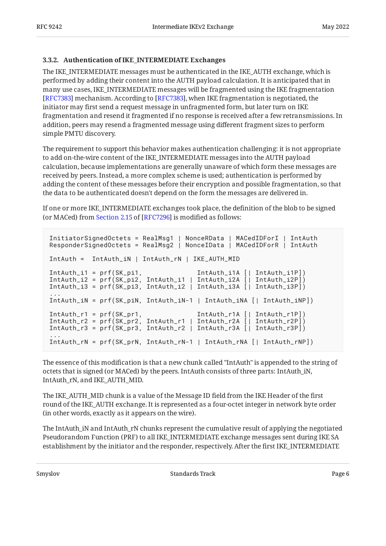#### <span id="page-5-0"></span>**[3.3.2. Authentication of IKE\\_INTERMEDIATE Exchanges](#page-5-0)**

The IKE\_INTERMEDIATE messages must be authenticated in the IKE\_AUTH exchange, which is performed by adding their content into the AUTH payload calculation. It is anticipated that in many use cases, IKE\_INTERMEDIATE messages will be fragmented using the IKE fragmentation [[RFC7383\]](#page-10-4) mechanism. According to [RFC7383], when IKE fragmentation is negotiated, the initiator may first send a request message in unfragmented form, but later turn on IKE fragmentation and resend it fragmented if no response is received after a few retransmissions. In addition, peers may resend a fragmented message using different fragment sizes to perform simple PMTU discovery.

The requirement to support this behavior makes authentication challenging: it is not appropriate to add on-the-wire content of the IKE\_INTERMEDIATE messages into the AUTH payload calculation, because implementations are generally unaware of which form these messages are received by peers. Instead, a more complex scheme is used; authentication is performed by adding the content of these messages before their encryption and possible fragmentation, so that the data to be authenticated doesn't depend on the form the messages are delivered in.

If one or more IKE\_INTERMEDIATE exchanges took place, the definition of the blob to be signed (orMACed) from Section 2.15 of [RFC7296] is modified as follows:

```
InitiatorSignedOctets = RealMsg1 | NonceRData | MACedIDForI | IntAuth
ResponderSignedOctets = RealMsg2 | NonceIData | MACedIDForR | IntAuth
IntAuth = IntAuth_iN | IntAuth_rN | IKE_AUTH_MID
IntAuth_i1 = prf(SK_pi1, IntAuth_i1A [| IntAuth_i1P])
IntAuth_i2 = prf(SK_pi2, IntAuth_i1 | IntAuth_i2A [| IntAuth_i2P])
IntAuth_i3 = prf(SK_pi3, IntAuth_i2 | IntAuth_i3A [| IntAuth_i3P])
...
IntAuth_iN = prf(SK_piN, IntAuth_iN-1 | IntAuth_iNA [| IntAuth_iNP])
IntAuth_r1 = prf(SK_pr1, IntAuth_r1A [| IntAuth_r1P])
IntAuth_r2 = prf(SK_pr2, IntAuth_r1 | IntAuth_r2A [| IntAuth_r2P])
IntAuth_r3 = prf(SK_pr3, IntAuth_r2 | IntAuth_r3A [| IntAuth_r3P])
...
IntAuth_rN = prf(SK_prN, IntAuth_rN-1 | IntAuth_rNA [| IntAuth_rNP])
```
The essence of this modification is that a new chunk called "IntAuth" is appended to the string of octets that is signed (or MACed) by the peers. IntAuth consists of three parts: IntAuth\_iN, IntAuth\_rN, and IKE\_AUTH\_MID.

The IKE\_AUTH\_MID chunk is a value of the Message ID field from the IKE Header of the first round of the IKE\_AUTH exchange. It is represented as a four-octet integer in network byte order (in other words, exactly as it appears on the wire).

The IntAuth\_iN and IntAuth\_rN chunks represent the cumulative result of applying the negotiated Pseudorandom Function (PRF) to all IKE\_INTERMEDIATE exchange messages sent during IKE SA establishment by the initiator and the responder, respectively. After the first IKE\_INTERMEDIATE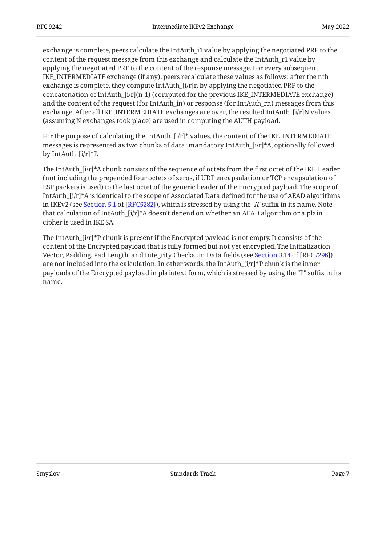exchange is complete, peers calculate the IntAuth\_i1 value by applying the negotiated PRF to the content of the request message from this exchange and calculate the IntAuth\_r1 value by applying the negotiated PRF to the content of the response message. For every subsequent IKE\_INTERMEDIATE exchange (if any), peers recalculate these values as follows: after the nth exchange is complete, they compute IntAuth\_[i/r]n by applying the negotiated PRF to the concatenation of IntAuth $[i/r](n-1)$  (computed for the previous IKE\_INTERMEDIATE exchange) and the content of the request (for IntAuth\_in) or response (for IntAuth\_rn) messages from this exchange. After all IKE\_INTERMEDIATE exchanges are over, the resulted IntAuth\_[i/r]N values (assuming N exchanges took place) are used in computing the AUTH payload.

For the purpose of calculating the IntAuth  $[i/r]^*$  values, the content of the IKE\_INTERMEDIATE messages is represented as two chunks of data: mandatory IntAuth\_ $[i/r]^*A$ , optionally followed by IntAuth\_[i/r]\*P.

The IntAuth\_[i/r]\*A chunk consists of the sequence of octets from the first octet of the IKE Header (not including the prepended four octets of zeros, if UDP encapsulation or TCP encapsulation of ESP packets is used) to the last octet of the generic header of the Encrypted payload. The scope of IntAuth\_[i/r]\*A is identical to the scope of Associated Data defined for the use of AEAD algorithms inIKEv2 (see Section 5.1 of [RFC5282]), which is stressed by using the "A" suffix in its name. Note that calculation of IntAuth\_[i/r]\*A doesn't depend on whether an AEAD algorithm or a plain cipher is used in IKE SA.

<span id="page-6-0"></span>The IntAuth\_[i/r]\*P chunk is present if the Encrypted payload is not empty. It consists of the content of the Encrypted payload that is fully formed but not yet encrypted. The Initialization Vector,Padding, Pad Length, and Integrity Checksum Data fields (see Section 3.14 of [RFC7296]) are not included into the calculation. In other words, the IntAuth\_ $[i/r]^*P$  chunk is the inner payloads of the Encrypted payload in plaintext form, which is stressed by using the "P" suffix in its name.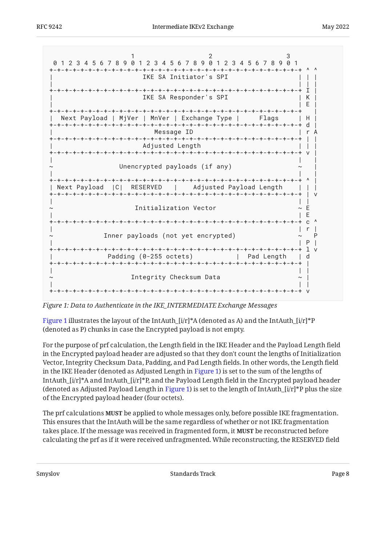<span id="page-7-0"></span>

*[Figure 1:](#page-7-0) [Data to Authenticate in the IKE\\_INTERMEDIATE Exchange Messages](#page-6-0)* 

[Figure 1](#page-7-0) illustrates the layout of the IntAuth\_ $[i/r]^*A$  (denoted as A) and the IntAuth\_ $[i/r]^*P$ (denoted as P) chunks in case the Encrypted payload is not empty.

For the purpose of prf calculation, the Length field in the IKE Header and the Payload Length field in the Encrypted payload header are adjusted so that they don't count the lengths of Initialization Vector, Integrity Checksum Data, Padding, and Pad Length fields. In other words, the Length field in the IKE Header (denoted as Adjusted Length in [Figure 1\)](#page-7-0) is set to the sum of the lengths of IntAuth\_ $[i/r]^*A$  and IntAuth\_ $[i/r]^*P$ , and the Payload Length field in the Encrypted payload header (denoted as Adjusted Payload Length in [Figure 1\)](#page-7-0) is set to the length of IntAuth\_ $[i/r]^*P$  plus the size of the Encrypted payload header (four octets).

The prf calculations **MUST** be applied to whole messages only, before possible IKE fragmentation. This ensures that the IntAuth will be the same regardless of whether or not IKE fragmentation takes place. If the message was received in fragmented form, it **MUST** be reconstructed before calculating the prf as if it were received unfragmented. While reconstructing, the RESERVED field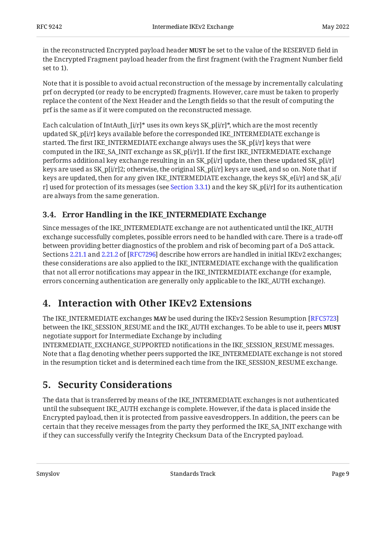in the reconstructed Encrypted payload header **MUST** be set to the value of the RESERVED field in the Encrypted Fragment payload header from the first fragment (with the Fragment Number field set to 1).

Note that it is possible to avoid actual reconstruction of the message by incrementally calculating prf on decrypted (or ready to be encrypted) fragments. However, care must be taken to properly replace the content of the Next Header and the Length fields so that the result of computing the prf is the same as if it were computed on the reconstructed message.

Each calculation of IntAuth\_ $[i/r]^*$  uses its own keys SK\_p[i/r]\*, which are the most recently updated SK\_p[i/r] keys available before the corresponded IKE\_INTERMEDIATE exchange is started. The first IKE\_INTERMEDIATE exchange always uses the SK\_p[i/r] keys that were computed in the IKE\_SA\_INIT exchange as SK\_p[i/r]1. If the first IKE\_INTERMEDIATE exchange performs additional key exchange resulting in an SK\_p[i/r] update, then these updated SK\_p[i/r] keys are used as SK\_p[i/r]2; otherwise, the original SK\_p[i/r] keys are used, and so on. Note that if keys are updated, then for any given IKE\_INTERMEDIATE exchange, the keys SK\_e[i/r] and SK\_a[i/ r] used for protection of its messages (see [Section 3.3.1\)](#page-4-1) and the key SK\_p[i/r] for its authentication are always from the same generation.

### <span id="page-8-0"></span>**[3.4. Error Handling in the IKE\\_INTERMEDIATE Exchange](#page-8-0)**

Since messages of the IKE\_INTERMEDIATE exchange are not authenticated until the IKE\_AUTH exchange successfully completes, possible errors need to be handled with care. There is a trade-off between providing better diagnostics of the problem and risk of becoming part of a DoS attack. Sections [2.21.1](https://www.rfc-editor.org/rfc/rfc7296#section-2.21.1) and [2.21.2](https://www.rfc-editor.org/rfc/rfc7296#section-2.21.2) of [RFC7296] describe how errors are handled in initial IKEv2 exchanges; these considerations are also applied to the IKE\_INTERMEDIATE exchange with the qualification that not all error notifications may appear in the IKE\_INTERMEDIATE exchange (for example, errors concerning authentication are generally only applicable to the IKE\_AUTH exchange).

## <span id="page-8-1"></span>**[4. Interaction with Other IKEv2 Extensions](#page-8-1)**

The IKE\_INTERMEDIATE exchanges **MAY** be used during the IKEv2 Session Resumption [\[RFC5723\]](#page-10-10) between the IKE\_SESSION\_RESUME and the IKE\_AUTH exchanges. To be able to use it, peers **MUST** negotiate support for Intermediate Exchange by including

INTERMEDIATE\_EXCHANGE\_SUPPORTED notifications in the IKE\_SESSION\_RESUME messages. Note that a flag denoting whether peers supported the IKE\_INTERMEDIATE exchange is not stored in the resumption ticket and is determined each time from the IKE\_SESSION\_RESUME exchange.

## <span id="page-8-2"></span>**[5. Security Considerations](#page-8-2)**

The data that is transferred by means of the IKE\_INTERMEDIATE exchanges is not authenticated until the subsequent IKE\_AUTH exchange is complete. However, if the data is placed inside the Encrypted payload, then it is protected from passive eavesdroppers. In addition, the peers can be certain that they receive messages from the party they performed the IKE\_SA\_INIT exchange with if they can successfully verify the Integrity Checksum Data of the Encrypted payload.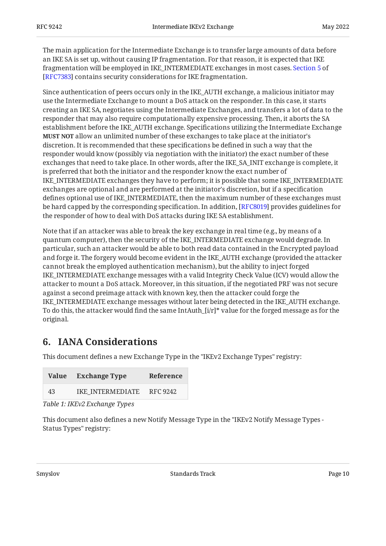The main application for the Intermediate Exchange is to transfer large amounts of data before an IKE SA is set up, without causing IP fragmentation. For that reason, it is expected that IKE fragmentation will be employed in IKE\_INTERMEDIATE exchanges in most cases. [Section 5](https://www.rfc-editor.org/rfc/rfc7383#section-5) of [[RFC7383\]](#page-10-4) contains security considerations for IKE fragmentation.

Since authentication of peers occurs only in the IKE\_AUTH exchange, a malicious initiator may use the Intermediate Exchange to mount a DoS attack on the responder. In this case, it starts creating an IKE SA, negotiates using the Intermediate Exchanges, and transfers a lot of data to the responder that may also require computationally expensive processing. Then, it aborts the SA establishment before the IKE\_AUTH exchange. Specifications utilizing the Intermediate Exchange **MUST NOT** allow an unlimited number of these exchanges to take place at the initiator's discretion. It is recommended that these specifications be defined in such a way that the responder would know (possibly via negotiation with the initiator) the exact number of these exchanges that need to take place. In other words, after the IKE\_SA\_INIT exchange is complete, it is preferred that both the initiator and the responder know the exact number of IKE\_INTERMEDIATE exchanges they have to perform; it is possible that some IKE\_INTERMEDIATE exchanges are optional and are performed at the initiator's discretion, but if a specification defines optional use of IKE\_INTERMEDIATE, then the maximum number of these exchanges must be hard capped by the corresponding specification. In addition, [RFC8019] provides guidelines for the responder of how to deal with DoS attacks during IKE SA establishment.

Note that if an attacker was able to break the key exchange in real time (e.g., by means of a quantum computer), then the security of the IKE\_INTERMEDIATE exchange would degrade. In particular, such an attacker would be able to both read data contained in the Encrypted payload and forge it. The forgery would become evident in the IKE\_AUTH exchange (provided the attacker cannot break the employed authentication mechanism), but the ability to inject forged IKE\_INTERMEDIATE exchange messages with a valid Integrity Check Value (ICV) would allow the attacker to mount a DoS attack. Moreover, in this situation, if the negotiated PRF was not secure against a second preimage attack with known key, then the attacker could forge the IKE\_INTERMEDIATE exchange messages without later being detected in the IKE\_AUTH exchange. To do this, the attacker would find the same IntAuth\_[i/r]\* value for the forged message as for the original.

## <span id="page-9-0"></span>**[6. IANA Considerations](#page-9-0)**

This document defines a new Exchange Type in the "IKEv2 Exchange Types" registry:

<span id="page-9-1"></span>

| Value                | <b>Exchange Type</b> | Reference |
|----------------------|----------------------|-----------|
| 43                   | IKE INTERMEDIATE     | RFC 9242  |
| $-11$ . $-12$ . $-1$ |                      |           |

*[Table 1: IKEv2 Exchange Types](#page-9-1)* 

<span id="page-9-2"></span>This document also defines a new Notify Message Type in the "IKEv2 Notify Message Types - Status Types" registry: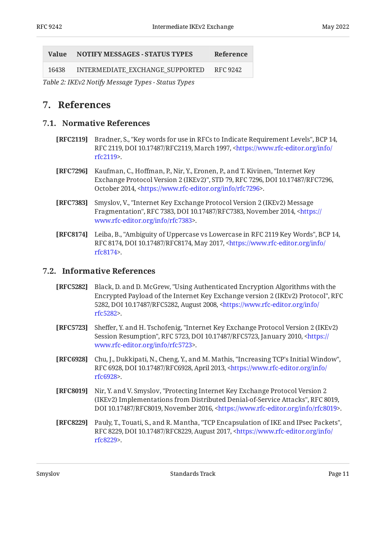<span id="page-10-12"></span>

| Value | <b>NOTIFY MESSAGES - STATUS TYPES</b> | Reference |
|-------|---------------------------------------|-----------|
| 16438 | INTERMEDIATE EXCHANGE SUPPORTED       | RFC 9242  |

<span id="page-10-0"></span>*[Table 2:](#page-10-12) [IKEv2 Notify Message Types - Status Types](#page-9-2)* 

### <span id="page-10-1"></span>**[7. References](#page-10-0)**

#### **[7.1. Normative References](#page-10-1)**

- <span id="page-10-7"></span>**[RFC2119]** Bradner, S., "Key words for use in RFCs to Indicate Requirement Levels", BCP 14, RFC 2119, DOI 10.17487/RFC2119, March 1997, [<https://www.rfc-editor.org/info/](https://www.rfc-editor.org/info/rfc2119) . [rfc2119](https://www.rfc-editor.org/info/rfc2119)>
- <span id="page-10-3"></span>**[RFC7296]** Kaufman, C., Hoffman, P., Nir, Y., Eronen, P., and T. Kivinen, "Internet Key Exchange Protocol Version 2 (IKEv2)", STD 79, RFC 7296, DOI 10.17487/RFC7296, October 2014, <https://www.rfc-editor.org/info/rfc7296>.
- <span id="page-10-4"></span>**[RFC7383]** , Smyslov, V. "Internet Key Exchange Protocol Version 2 (IKEv2) Message Fragmentation", RFC 7383, DOI 10.17487/RFC7383, November 2014, [<https://](https://www.rfc-editor.org/info/rfc7383) . [www.rfc-editor.org/info/rfc7383>](https://www.rfc-editor.org/info/rfc7383)
- <span id="page-10-8"></span>**[RFC8174]** Leiba, B., "Ambiguity of Uppercase vs Lowercase in RFC 2119 Key Words", BCP 14, RFC 8174, DOI 10.17487/RFC8174, May 2017, <[https://www.rfc-editor.org/info/](https://www.rfc-editor.org/info/rfc8174) . [rfc8174](https://www.rfc-editor.org/info/rfc8174)>

#### <span id="page-10-2"></span>**[7.2. Informative References](#page-10-2)**

- <span id="page-10-9"></span>**[RFC5282]** Black, D. and D. McGrew, "Using Authenticated Encryption Algorithms with the Encrypted Payload of the Internet Key Exchange version 2 (IKEv2) Protocol", RFC 5282, DOI 10.17487/RFC5282, August 2008, [<https://www.rfc-editor.org/info/](https://www.rfc-editor.org/info/rfc5282) . [rfc5282](https://www.rfc-editor.org/info/rfc5282)>
- <span id="page-10-10"></span>**[RFC5723]** Sheffer, Y. and H. Tschofenig, "Internet Key Exchange Protocol Version 2 (IKEv2) Session Resumption", RFC 5723, DOI 10.17487/RFC5723, January 2010, [<https://](https://www.rfc-editor.org/info/rfc5723) . [www.rfc-editor.org/info/rfc5723>](https://www.rfc-editor.org/info/rfc5723)
- <span id="page-10-6"></span>**[RFC6928]** Chu, J., Dukkipati, N., Cheng, Y., and M. Mathis, "Increasing TCP's Initial Window", RFC 6928, DOI 10.17487/RFC6928, April 2013, [<https://www.rfc-editor.org/info/](https://www.rfc-editor.org/info/rfc6928) . [rfc6928](https://www.rfc-editor.org/info/rfc6928)>
- <span id="page-10-11"></span>**[RFC8019]** Nir, Y. and V. Smyslov, "Protecting Internet Key Exchange Protocol Version 2 (IKEv2) Implementations from Distributed Denial-of-Service Attacks", RFC 8019, DOI 10.17487/RFC8019, November 2016, <https://www.rfc-editor.org/info/rfc8019>.
- <span id="page-10-5"></span>**[RFC8229]** Pauly, T., Touati, S., and R. Mantha, "TCP Encapsulation of IKE and IPsec Packets", RFC 8229, DOI 10.17487/RFC8229, August 2017, [<https://www.rfc-editor.org/info/](https://www.rfc-editor.org/info/rfc8229) . [rfc8229](https://www.rfc-editor.org/info/rfc8229)>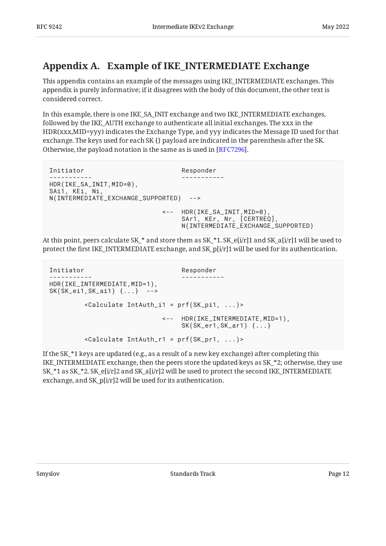## <span id="page-11-0"></span>**[Appendix A. Example of IKE\\_INTERMEDIATE Exchange](#page-11-0)**

This appendix contains an example of the messages using IKE\_INTERMEDIATE exchanges. This appendix is purely informative; if it disagrees with the body of this document, the other text is considered correct.

In this example, there is one IKE\_SA\_INIT exchange and two IKE\_INTERMEDIATE exchanges, followed by the IKE\_AUTH exchange to authenticate all initial exchanges. The xxx in the HDR(xxx,MID=yyy) indicates the Exchange Type, and yyy indicates the Message ID used for that exchange. The keys used for each SK {} payload are indicated in the parenthesis after the SK. Otherwise, the payload notation is the same as is used in [\[RFC7296](#page-10-3)].

```
Initiator Responder
                                 ----------- -----------
HDR(IKE_SA_INIT,MID=0),
SAi1, KEi, Ni,
N(INTERMEDIATE_EXCHANGE_SUPPORTED) -->
                             <-- HDR(IKE_SA_INIT,MID=0),
                                  SAr1, KEr, Nr, [CERTREQ],
                                  N(INTERMEDIATE_EXCHANGE_SUPPORTED)
```
At this point, peers calculate SK\_\* and store them as SK\_\*1. SK\_e[i/r]1 and SK\_a[i/r]1 will be used to protect the first IKE\_INTERMEDIATE exchange, and SK\_p[i/r]1 will be used for its authentication.

```
Initiator Responder
----------- -----------
HDR(IKE_INTERMEDIATE, MID=1),
SK(SK_ei1,SK_ai1) {...} -->
         <Calculate IntAuth_i1 = prf(SK_pi1, ...)>
                          <-- HDR(IKE_INTERMEDIATE,MID=1),
                              SK(SK_er1,SK_ar1) {...}
         <Calculate IntAuth_r1 = prf(SK_pr1, ...)>
```
If the SK  $*1$  keys are updated (e.g., as a result of a new key exchange) after completing this IKE\_INTERMEDIATE exchange, then the peers store the updated keys as SK\_\*2; otherwise, they use  $SK_*^*1$  as  $SK_*^*2$ .  $SK_e[i/r]2$  and  $SK_a[i/r]2$  will be used to protect the second IKE\_INTERMEDIATE exchange, and SK\_p[i/r]2 will be used for its authentication.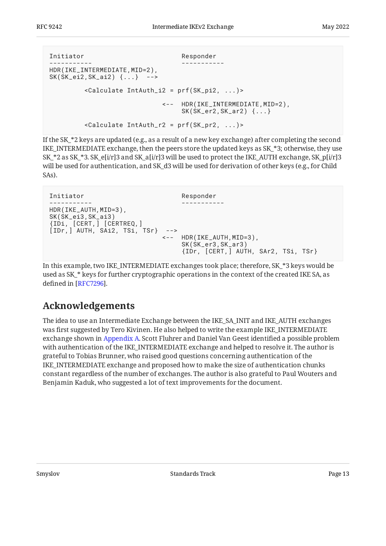```
Initiator Responder
----------- -----------
HDR(IKE_INTERMEDIATE, MID=2),
SK(SK_ei2,SK_ai2) {...} -->
         <Calculate IntAuth_i2 = prf(SK_pi2, ...)>
                          <-- HDR(IKE_INTERMEDIATE,MID=2),
                              SK(SK_er2,SK_ar2) {...}
         <Calculate IntAuth_r2 = prf(SK_pr2, ...)>
```
If the SK  $*2$  keys are updated (e.g., as a result of a new key exchange) after completing the second IKE\_INTERMEDIATE exchange, then the peers store the updated keys as SK\_\*3; otherwise, they use SK\_\*2 as SK\_\*3. SK\_e[i/r]3 and SK\_a[i/r]3 will be used to protect the IKE\_AUTH exchange, SK\_p[i/r]3 will be used for authentication, and SK\_d3 will be used for derivation of other keys (e.g., for Child SAs).

```
Initiator Responder
                                 ----------- -----------
HDR(IKE_AUTH, MID=3),
SK(SK_ei3,SK_ai3)
{IDi, [CERT,] [CERTREQ,]
[IDr,] AUTH, SAi2, TSi, TSr} -->
                             <-- HDR(IKE_AUTH,MID=3),
                                  SK(SK_er3,SK_ar3)
                                  {IDr, [CERT,] AUTH, SAr2, TSi, TSr}
```
In this example, two IKE\_INTERMEDIATE exchanges took place; therefore, SK\_\*3 keys would be used as SK\_\* keys for further cryptographic operations in the context of the created IKE SA, as defined in [RFC7296].

## <span id="page-12-0"></span>**[Acknowledgements](#page-12-0)**

The idea to use an Intermediate Exchange between the IKE\_SA\_INIT and IKE\_AUTH exchanges was first suggested by Tero Kivinen. He also helped to write the example IKE\_INTERMEDIATE exchange shown in [Appendix A.](#page-11-0) Scott Fluhrer and Daniel Van Geest identified a possible problem with authentication of the IKE\_INTERMEDIATE exchange and helped to resolve it. The author is grateful to Tobias Brunner, who raised good questions concerning authentication of the IKE\_INTERMEDIATE exchange and proposed how to make the size of authentication chunks constant regardless of the number of exchanges. The author is also grateful to Paul Wouters and Benjamin Kaduk, who suggested a lot of text improvements for the document.